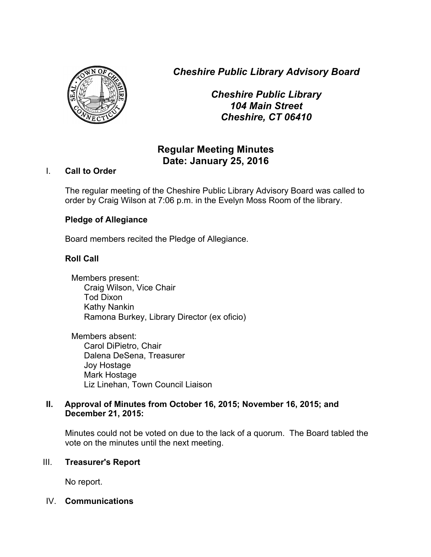*Cheshire Public Library Advisory Board*



*Cheshire Public Library 104 Main Street Cheshire, CT 06410*

# **Regular Meeting Minutes Date: January 25, 2016**

# I. **Call to Order**

The regular meeting of the Cheshire Public Library Advisory Board was called to order by Craig Wilson at 7:06 p.m. in the Evelyn Moss Room of the library.

# **Pledge of Allegiance**

Board members recited the Pledge of Allegiance.

# **Roll Call**

Members present: Craig Wilson, Vice Chair Tod Dixon Kathy Nankin Ramona Burkey, Library Director (ex oficio)

Members absent: Carol DiPietro, Chair Dalena DeSena, Treasurer Joy Hostage Mark Hostage Liz Linehan, Town Council Liaison

# **II. Approval of Minutes from October 16, 2015; November 16, 2015; and December 21, 2015:**

Minutes could not be voted on due to the lack of a quorum. The Board tabled the vote on the minutes until the next meeting.

#### III. **Treasurer's Report**

No report.

#### IV. **Communications**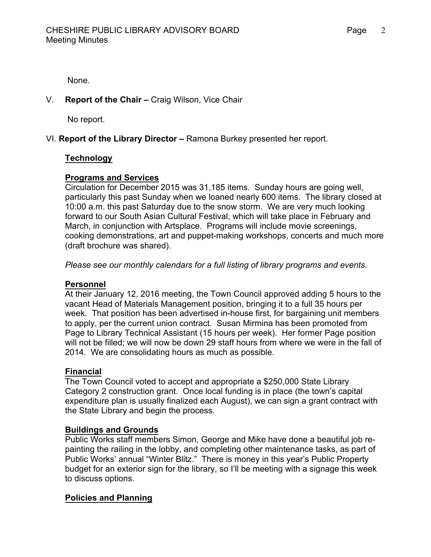None.

# V. **Report of the Chair –** Craig Wilson, Vice Chair

No report.

# VI. **Report of the Library Director –** Ramona Burkey presented her report.

#### **Technology**

#### **Programs and Services**

Circulation for December 2015 was 31,185 items. Sunday hours are going well, particularly this past Sunday when we loaned nearly 600 items. The library closed at 10:00 a.m. this past Saturday due to the snow storm. We are very much looking forward to our South Asian Cultural Festival, which will take place in February and March, in conjunction with Artsplace. Programs will include movie screenings, cooking demonstrations, art and puppet-making workshops, concerts and much more (draft brochure was shared).

*Please see our monthly calendars for a full listing of library programs and events.*

#### **Personnel**

At their January 12, 2016 meeting, the Town Council approved adding 5 hours to the vacant Head of Materials Management position, bringing it to a full 35 hours per week. That position has been advertised in-house first, for bargaining unit members to apply, per the current union contract. Susan Mirmina has been promoted from Page to Library Technical Assistant (15 hours per week). Her former Page position will not be filled; we will now be down 29 staff hours from where we were in the fall of 2014. We are consolidating hours as much as possible.

#### **Financial**

The Town Council voted to accept and appropriate a \$250,000 State Library Category 2 construction grant. Once local funding is in place (the town's capital expenditure plan is usually finalized each August), we can sign a grant contract with the State Library and begin the process.

#### **Buildings and Grounds**

Public Works staff members Simon, George and Mike have done a beautiful job repainting the railing in the lobby, and completing other maintenance tasks, as part of Public Works' annual "Winter Blitz." There is money in this year's Public Property budget for an exterior sign for the library, so I'll be meeting with a signage this week to discuss options.

#### **Policies and Planning**